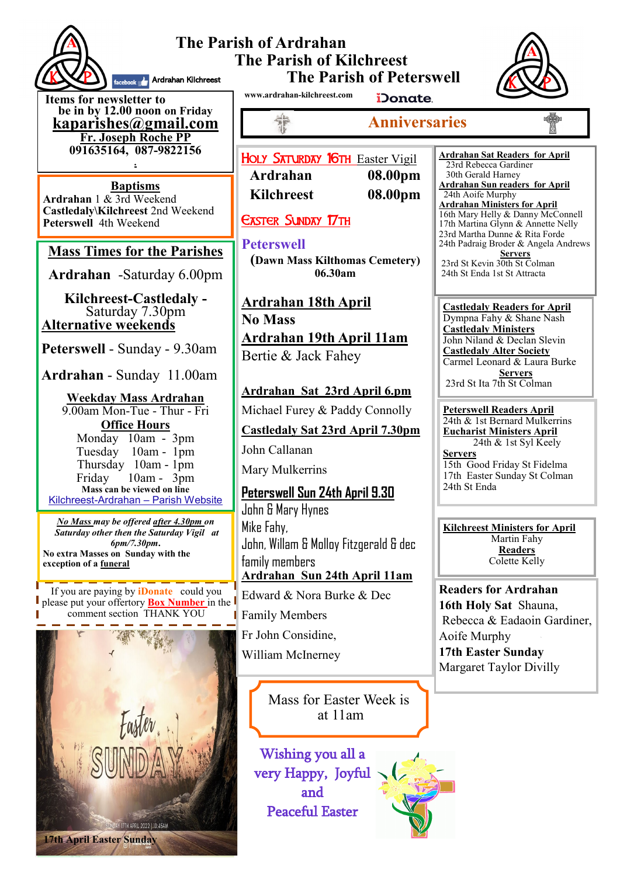